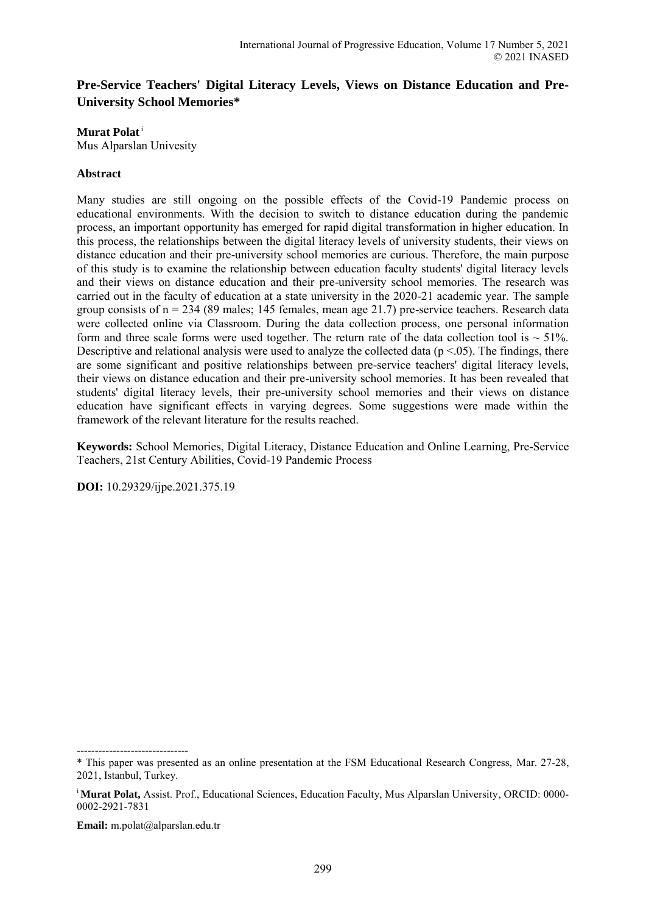# **Pre-Service Teachers' Digital Literacy Levels, Views on Distance Education and Pre-University School Memories\***

**Murat Polat**<sup>i</sup>

Mus Alparslan Univesity

## **Abstract**

Many studies are still ongoing on the possible effects of the Covid-19 Pandemic process on educational environments. With the decision to switch to distance education during the pandemic process, an important opportunity has emerged for rapid digital transformation in higher education. In this process, the relationships between the digital literacy levels of university students, their views on distance education and their pre-university school memories are curious. Therefore, the main purpose of this study is to examine the relationship between education faculty students' digital literacy levels and their views on distance education and their pre-university school memories. The research was carried out in the faculty of education at a state university in the 2020-21 academic year. The sample group consists of  $n = 234$  (89 males; 145 females, mean age 21.7) pre-service teachers. Research data were collected online via Classroom. During the data collection process, one personal information form and three scale forms were used together. The return rate of the data collection tool is  $\sim$  51%. Descriptive and relational analysis were used to analyze the collected data ( $p < 0.05$ ). The findings, there are some significant and positive relationships between pre-service teachers' digital literacy levels, their views on distance education and their pre-university school memories. It has been revealed that students' digital literacy levels, their pre-university school memories and their views on distance education have significant effects in varying degrees. Some suggestions were made within the framework of the relevant literature for the results reached.

**Keywords:** School Memories, Digital Literacy, Distance Education and Online Learning, Pre-Service Teachers, 21st Century Abilities, Covid-19 Pandemic Process

**DOI:** 10.29329/ijpe.2021.375.19

-------------------------------

**Email:** m.polat@alparslan.edu.tr

<sup>\*</sup> This paper was presented as an online presentation at the FSM Educational Research Congress, Mar. 27-28, 2021, Istanbul, Turkey.

<sup>&</sup>lt;sup>i</sup>Murat Polat, Assist. Prof., Educational Sciences, Education Faculty, Mus Alparslan University, ORCID: 0000-0002-2921-7831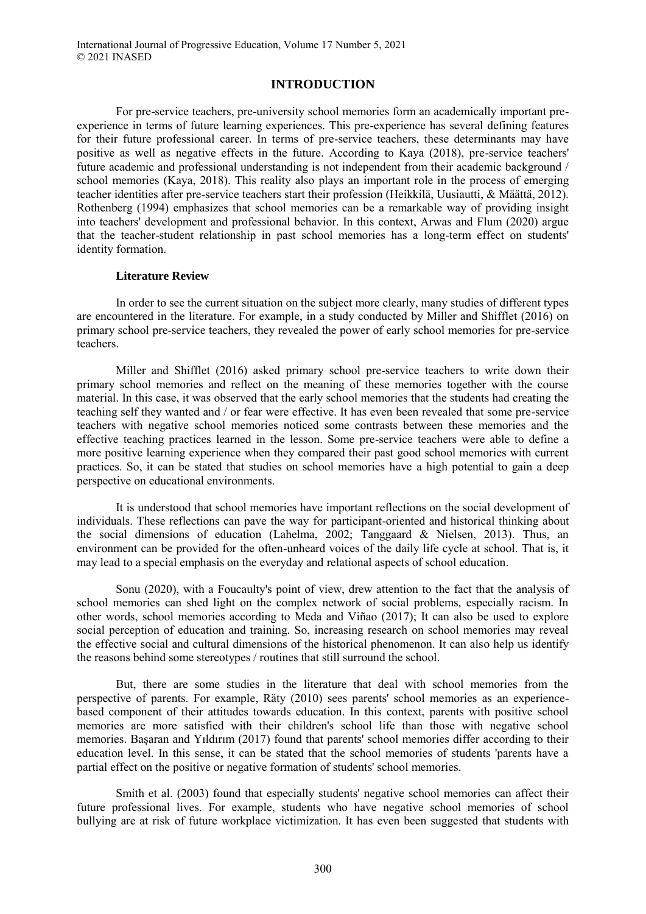## **INTRODUCTION**

For pre-service teachers, pre-university school memories form an academically important preexperience in terms of future learning experiences. This pre-experience has several defining features for their future professional career. In terms of pre-service teachers, these determinants may have positive as well as negative effects in the future. According to Kaya (2018), pre-service teachers' future academic and professional understanding is not independent from their academic background / school memories (Kaya, 2018). This reality also plays an important role in the process of emerging teacher identities after pre-service teachers start their profession (Heikkilä, Uusiautti, & Määttä, 2012). Rothenberg (1994) emphasizes that school memories can be a remarkable way of providing insight into teachers' development and professional behavior. In this context, Arwas and Flum (2020) argue that the teacher-student relationship in past school memories has a long-term effect on students' identity formation.

#### **Literature Review**

In order to see the current situation on the subject more clearly, many studies of different types are encountered in the literature. For example, in a study conducted by Miller and Shifflet (2016) on primary school pre-service teachers, they revealed the power of early school memories for pre-service teachers.

Miller and Shifflet (2016) asked primary school pre-service teachers to write down their primary school memories and reflect on the meaning of these memories together with the course material. In this case, it was observed that the early school memories that the students had creating the teaching self they wanted and / or fear were effective. It has even been revealed that some pre-service teachers with negative school memories noticed some contrasts between these memories and the effective teaching practices learned in the lesson. Some pre-service teachers were able to define a more positive learning experience when they compared their past good school memories with current practices. So, it can be stated that studies on school memories have a high potential to gain a deep perspective on educational environments.

It is understood that school memories have important reflections on the social development of individuals. These reflections can pave the way for participant-oriented and historical thinking about the social dimensions of education (Lahelma, 2002; Tanggaard & Nielsen, 2013). Thus, an environment can be provided for the often-unheard voices of the daily life cycle at school. That is, it may lead to a special emphasis on the everyday and relational aspects of school education.

Sonu (2020), with a Foucaulty's point of view, drew attention to the fact that the analysis of school memories can shed light on the complex network of social problems, especially racism. In other words, school memories according to Meda and Viñao (2017); It can also be used to explore social perception of education and training. So, increasing research on school memories may reveal the effective social and cultural dimensions of the historical phenomenon. It can also help us identify the reasons behind some stereotypes / routines that still surround the school.

But, there are some studies in the literature that deal with school memories from the perspective of parents. For example, Räty (2010) sees parents' school memories as an experiencebased component of their attitudes towards education. In this context, parents with positive school memories are more satisfied with their children's school life than those with negative school memories. Başaran and Yıldırım (2017) found that parents' school memories differ according to their education level. In this sense, it can be stated that the school memories of students 'parents have a partial effect on the positive or negative formation of students' school memories.

Smith et al. (2003) found that especially students' negative school memories can affect their future professional lives. For example, students who have negative school memories of school bullying are at risk of future workplace victimization. It has even been suggested that students with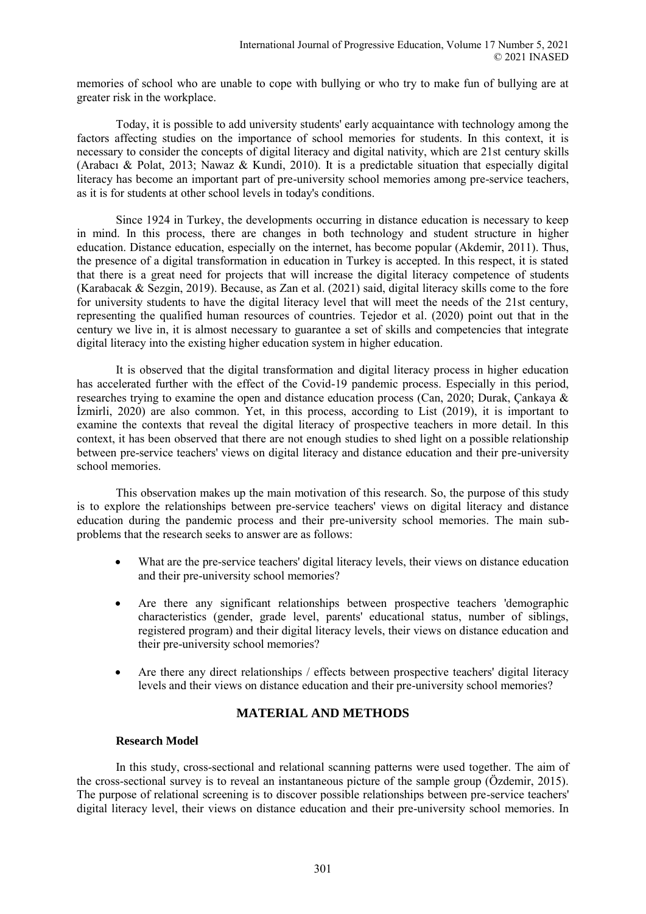memories of school who are unable to cope with bullying or who try to make fun of bullying are at greater risk in the workplace.

Today, it is possible to add university students' early acquaintance with technology among the factors affecting studies on the importance of school memories for students. In this context, it is necessary to consider the concepts of digital literacy and digital nativity, which are 21st century skills (Arabacı & Polat, 2013; Nawaz & Kundi, 2010). It is a predictable situation that especially digital literacy has become an important part of pre-university school memories among pre-service teachers, as it is for students at other school levels in today's conditions.

Since 1924 in Turkey, the developments occurring in distance education is necessary to keep in mind. In this process, there are changes in both technology and student structure in higher education. Distance education, especially on the internet, has become popular (Akdemir, 2011). Thus, the presence of a digital transformation in education in Turkey is accepted. In this respect, it is stated that there is a great need for projects that will increase the digital literacy competence of students (Karabacak & Sezgin, 2019). Because, as Zan et al. (2021) said, digital literacy skills come to the fore for university students to have the digital literacy level that will meet the needs of the 21st century, representing the qualified human resources of countries. Tejedor et al. (2020) point out that in the century we live in, it is almost necessary to guarantee a set of skills and competencies that integrate digital literacy into the existing higher education system in higher education.

It is observed that the digital transformation and digital literacy process in higher education has accelerated further with the effect of the Covid-19 pandemic process. Especially in this period, researches trying to examine the open and distance education process (Can, 2020; Durak, Çankaya & İzmirli, 2020) are also common. Yet, in this process, according to List (2019), it is important to examine the contexts that reveal the digital literacy of prospective teachers in more detail. In this context, it has been observed that there are not enough studies to shed light on a possible relationship between pre-service teachers' views on digital literacy and distance education and their pre-university school memories.

This observation makes up the main motivation of this research. So, the purpose of this study is to explore the relationships between pre-service teachers' views on digital literacy and distance education during the pandemic process and their pre-university school memories. The main subproblems that the research seeks to answer are as follows:

- What are the pre-service teachers' digital literacy levels, their views on distance education and their pre-university school memories?
- Are there any significant relationships between prospective teachers 'demographic characteristics (gender, grade level, parents' educational status, number of siblings, registered program) and their digital literacy levels, their views on distance education and their pre-university school memories?
- Are there any direct relationships / effects between prospective teachers' digital literacy levels and their views on distance education and their pre-university school memories?

# **MATERIAL AND METHODS**

#### **Research Model**

In this study, cross-sectional and relational scanning patterns were used together. The aim of the cross-sectional survey is to reveal an instantaneous picture of the sample group (Özdemir, 2015). The purpose of relational screening is to discover possible relationships between pre-service teachers' digital literacy level, their views on distance education and their pre-university school memories. In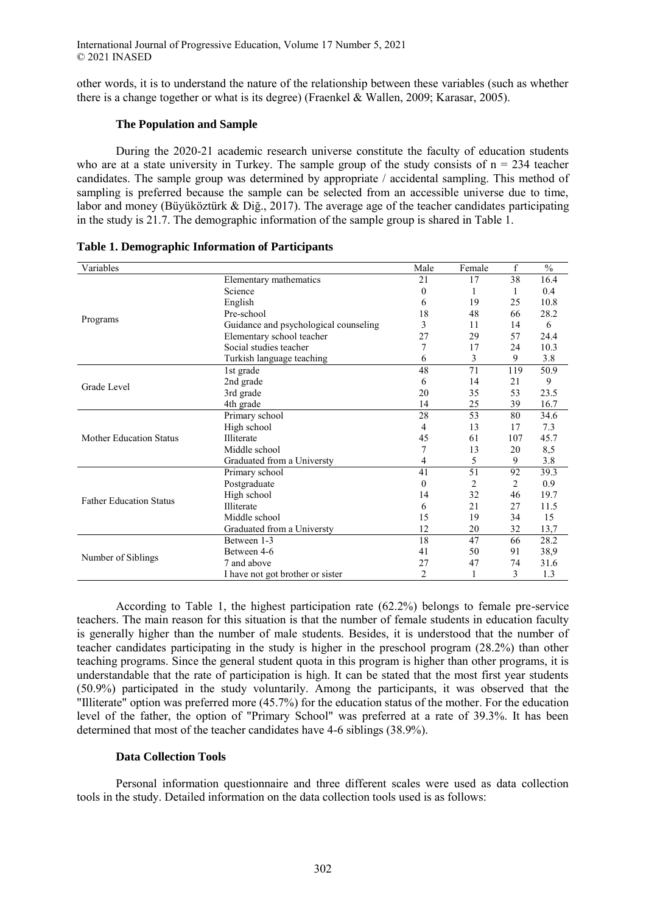other words, it is to understand the nature of the relationship between these variables (such as whether there is a change together or what is its degree) (Fraenkel & Wallen, 2009; Karasar, 2005).

#### **The Population and Sample**

During the 2020-21 academic research universe constitute the faculty of education students who are at a state university in Turkey. The sample group of the study consists of  $n = 234$  teacher candidates. The sample group was determined by appropriate / accidental sampling. This method of sampling is preferred because the sample can be selected from an accessible universe due to time, labor and money (Büyüköztürk & Diğ., 2017). The average age of the teacher candidates participating in the study is 21.7. The demographic information of the sample group is shared in Table 1.

| Variables                                                                                   |                                                                                                                                                                                                                                                                                                                                                                                                                                                                                                                                                                                                                                                                                                                                                                                                                                                                                                                                     | Male                                                                                                                                                                    | Female | f  | $\frac{0}{0}$ |
|---------------------------------------------------------------------------------------------|-------------------------------------------------------------------------------------------------------------------------------------------------------------------------------------------------------------------------------------------------------------------------------------------------------------------------------------------------------------------------------------------------------------------------------------------------------------------------------------------------------------------------------------------------------------------------------------------------------------------------------------------------------------------------------------------------------------------------------------------------------------------------------------------------------------------------------------------------------------------------------------------------------------------------------------|-------------------------------------------------------------------------------------------------------------------------------------------------------------------------|--------|----|---------------|
|                                                                                             | Elementary mathematics                                                                                                                                                                                                                                                                                                                                                                                                                                                                                                                                                                                                                                                                                                                                                                                                                                                                                                              | 21                                                                                                                                                                      | 17     | 38 | 16.4          |
| Programs<br>Grade Level<br><b>Mother Education Status</b><br><b>Father Education Status</b> | Science                                                                                                                                                                                                                                                                                                                                                                                                                                                                                                                                                                                                                                                                                                                                                                                                                                                                                                                             | $\theta$                                                                                                                                                                | 1      | 1  | 0.4           |
|                                                                                             | English<br>19<br>25<br>6<br>Pre-school<br>18<br>48<br>66<br>Guidance and psychological counseling<br>3<br>11<br>14<br>27<br>Elementary school teacher<br>29<br>57<br>Social studies teacher<br>7<br>17<br>24<br>3<br>9<br>Turkish language teaching<br>6<br>48<br>71<br>119<br>1st grade<br>2nd grade<br>14<br>21<br>6<br>3rd grade<br>20<br>35<br>53<br>4th grade<br>14<br>25<br>39<br>28<br>Primary school<br>53<br>80<br>High school<br>13<br>17<br>4<br><b>Illiterate</b><br>107<br>45<br>61<br>Middle school<br>7<br>13<br>20<br>Graduated from a Universty<br>5<br>9<br>4<br>41<br>51<br>92<br>Primary school<br>$\overline{c}$<br>$\theta$<br>2<br>Postgraduate<br>32<br>High school<br>14<br>46<br><b>Illiterate</b><br>21<br>27<br>6<br>Middle school<br>19<br>15<br>34<br>Graduated from a Universty<br>12<br>20<br>32<br>18<br>Between 1-3<br>47<br>66<br>91<br>Between 4-6<br>41<br>50<br>7 and above<br>27<br>47<br>74 |                                                                                                                                                                         | 10.8   |    |               |
|                                                                                             |                                                                                                                                                                                                                                                                                                                                                                                                                                                                                                                                                                                                                                                                                                                                                                                                                                                                                                                                     | 28.2<br>6<br>24.4<br>10.3<br>3.8<br>50.9<br>9<br>23.5<br>16.7<br>34.6<br>7.3<br>45.7<br>8,5<br>3.8<br>39.3<br>0.9<br>19.7<br>11.5<br>15<br>13,7<br>28.2<br>38,9<br>31.6 |        |    |               |
|                                                                                             |                                                                                                                                                                                                                                                                                                                                                                                                                                                                                                                                                                                                                                                                                                                                                                                                                                                                                                                                     |                                                                                                                                                                         |        |    |               |
|                                                                                             |                                                                                                                                                                                                                                                                                                                                                                                                                                                                                                                                                                                                                                                                                                                                                                                                                                                                                                                                     |                                                                                                                                                                         |        |    |               |
| Number of Siblings                                                                          |                                                                                                                                                                                                                                                                                                                                                                                                                                                                                                                                                                                                                                                                                                                                                                                                                                                                                                                                     |                                                                                                                                                                         |        |    |               |
|                                                                                             |                                                                                                                                                                                                                                                                                                                                                                                                                                                                                                                                                                                                                                                                                                                                                                                                                                                                                                                                     | 2<br>1.3<br>3<br>1                                                                                                                                                      |        |    |               |
|                                                                                             |                                                                                                                                                                                                                                                                                                                                                                                                                                                                                                                                                                                                                                                                                                                                                                                                                                                                                                                                     |                                                                                                                                                                         |        |    |               |
|                                                                                             |                                                                                                                                                                                                                                                                                                                                                                                                                                                                                                                                                                                                                                                                                                                                                                                                                                                                                                                                     |                                                                                                                                                                         |        |    |               |
|                                                                                             |                                                                                                                                                                                                                                                                                                                                                                                                                                                                                                                                                                                                                                                                                                                                                                                                                                                                                                                                     |                                                                                                                                                                         |        |    |               |
|                                                                                             |                                                                                                                                                                                                                                                                                                                                                                                                                                                                                                                                                                                                                                                                                                                                                                                                                                                                                                                                     |                                                                                                                                                                         |        |    |               |
|                                                                                             |                                                                                                                                                                                                                                                                                                                                                                                                                                                                                                                                                                                                                                                                                                                                                                                                                                                                                                                                     |                                                                                                                                                                         |        |    |               |
|                                                                                             |                                                                                                                                                                                                                                                                                                                                                                                                                                                                                                                                                                                                                                                                                                                                                                                                                                                                                                                                     |                                                                                                                                                                         |        |    |               |
|                                                                                             |                                                                                                                                                                                                                                                                                                                                                                                                                                                                                                                                                                                                                                                                                                                                                                                                                                                                                                                                     |                                                                                                                                                                         |        |    |               |
|                                                                                             |                                                                                                                                                                                                                                                                                                                                                                                                                                                                                                                                                                                                                                                                                                                                                                                                                                                                                                                                     |                                                                                                                                                                         |        |    |               |
|                                                                                             |                                                                                                                                                                                                                                                                                                                                                                                                                                                                                                                                                                                                                                                                                                                                                                                                                                                                                                                                     |                                                                                                                                                                         |        |    |               |
|                                                                                             |                                                                                                                                                                                                                                                                                                                                                                                                                                                                                                                                                                                                                                                                                                                                                                                                                                                                                                                                     |                                                                                                                                                                         |        |    |               |
|                                                                                             |                                                                                                                                                                                                                                                                                                                                                                                                                                                                                                                                                                                                                                                                                                                                                                                                                                                                                                                                     |                                                                                                                                                                         |        |    |               |
|                                                                                             |                                                                                                                                                                                                                                                                                                                                                                                                                                                                                                                                                                                                                                                                                                                                                                                                                                                                                                                                     |                                                                                                                                                                         |        |    |               |
|                                                                                             |                                                                                                                                                                                                                                                                                                                                                                                                                                                                                                                                                                                                                                                                                                                                                                                                                                                                                                                                     |                                                                                                                                                                         |        |    |               |
|                                                                                             |                                                                                                                                                                                                                                                                                                                                                                                                                                                                                                                                                                                                                                                                                                                                                                                                                                                                                                                                     |                                                                                                                                                                         |        |    |               |
|                                                                                             |                                                                                                                                                                                                                                                                                                                                                                                                                                                                                                                                                                                                                                                                                                                                                                                                                                                                                                                                     |                                                                                                                                                                         |        |    |               |
|                                                                                             |                                                                                                                                                                                                                                                                                                                                                                                                                                                                                                                                                                                                                                                                                                                                                                                                                                                                                                                                     |                                                                                                                                                                         |        |    |               |
|                                                                                             |                                                                                                                                                                                                                                                                                                                                                                                                                                                                                                                                                                                                                                                                                                                                                                                                                                                                                                                                     |                                                                                                                                                                         |        |    |               |
|                                                                                             |                                                                                                                                                                                                                                                                                                                                                                                                                                                                                                                                                                                                                                                                                                                                                                                                                                                                                                                                     |                                                                                                                                                                         |        |    |               |
|                                                                                             | I have not got brother or sister                                                                                                                                                                                                                                                                                                                                                                                                                                                                                                                                                                                                                                                                                                                                                                                                                                                                                                    |                                                                                                                                                                         |        |    |               |

According to Table 1, the highest participation rate (62.2%) belongs to female pre-service teachers. The main reason for this situation is that the number of female students in education faculty is generally higher than the number of male students. Besides, it is understood that the number of teacher candidates participating in the study is higher in the preschool program (28.2%) than other teaching programs. Since the general student quota in this program is higher than other programs, it is understandable that the rate of participation is high. It can be stated that the most first year students (50.9%) participated in the study voluntarily. Among the participants, it was observed that the "Illiterate" option was preferred more (45.7%) for the education status of the mother. For the education level of the father, the option of "Primary School" was preferred at a rate of 39.3%. It has been determined that most of the teacher candidates have 4-6 siblings (38.9%).

#### **Data Collection Tools**

Personal information questionnaire and three different scales were used as data collection tools in the study. Detailed information on the data collection tools used is as follows: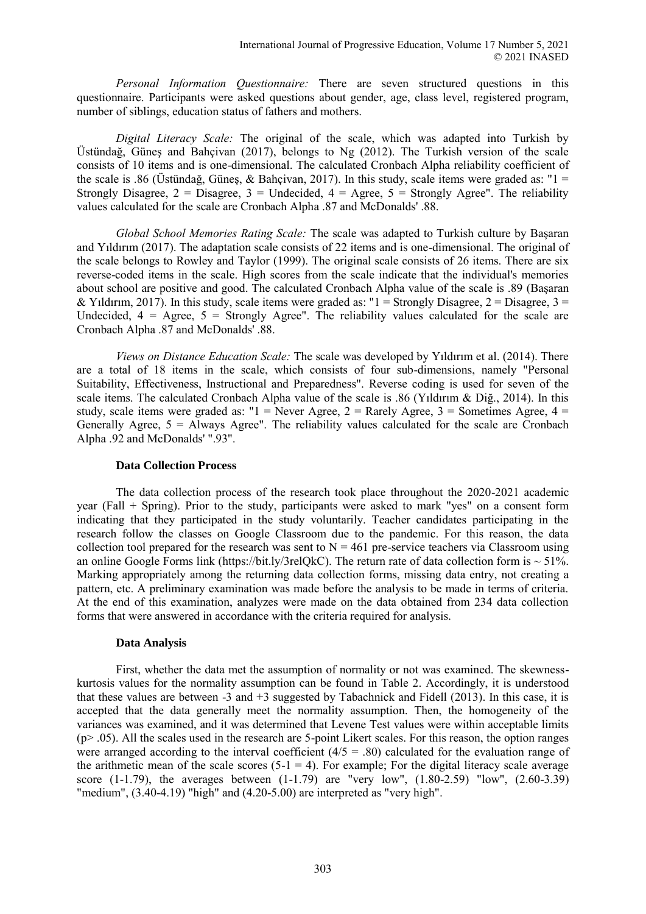*Personal Information Questionnaire:* There are seven structured questions in this questionnaire. Participants were asked questions about gender, age, class level, registered program, number of siblings, education status of fathers and mothers.

*Digital Literacy Scale:* The original of the scale, which was adapted into Turkish by Üstündağ, Güneş and Bahçivan (2017), belongs to Ng (2012). The Turkish version of the scale consists of 10 items and is one-dimensional. The calculated Cronbach Alpha reliability coefficient of the scale is .86 (Üstündağ, Günes, & Bahçivan, 2017). In this study, scale items were graded as: " $1 =$ Strongly Disagree,  $2 =$  Disagree,  $3 =$  Undecided,  $4 =$  Agree,  $5 =$  Strongly Agree". The reliability values calculated for the scale are Cronbach Alpha .87 and McDonalds' .88.

*Global School Memories Rating Scale:* The scale was adapted to Turkish culture by Başaran and Yıldırım (2017). The adaptation scale consists of 22 items and is one-dimensional. The original of the scale belongs to Rowley and Taylor (1999). The original scale consists of 26 items. There are six reverse-coded items in the scale. High scores from the scale indicate that the individual's memories about school are positive and good. The calculated Cronbach Alpha value of the scale is .89 (Başaran & Yıldırım, 2017). In this study, scale items were graded as: " $1 =$  Strongly Disagree,  $2 =$  Disagree,  $3 =$ Undecided,  $4 = \text{Agree}, 5 = \text{Strongly Age}$ . The reliability values calculated for the scale are Cronbach Alpha .87 and McDonalds' .88.

*Views on Distance Education Scale:* The scale was developed by Yıldırım et al. (2014). There are a total of 18 items in the scale, which consists of four sub-dimensions, namely "Personal Suitability, Effectiveness, Instructional and Preparedness". Reverse coding is used for seven of the scale items. The calculated Cronbach Alpha value of the scale is .86 (Yıldırım & Diğ., 2014). In this study, scale items were graded as: " $1 =$  Never Agree,  $2 =$  Rarely Agree,  $3 =$  Sometimes Agree,  $4 =$ Generally Agree,  $5 =$  Always Agree". The reliability values calculated for the scale are Cronbach Alpha .92 and McDonalds' ".93".

#### **Data Collection Process**

The data collection process of the research took place throughout the 2020-2021 academic year (Fall + Spring). Prior to the study, participants were asked to mark "yes" on a consent form indicating that they participated in the study voluntarily. Teacher candidates participating in the research follow the classes on Google Classroom due to the pandemic. For this reason, the data collection tool prepared for the research was sent to  $N = 461$  pre-service teachers via Classroom using an online Google Forms link (https://bit.ly/3relQkC). The return rate of data collection form is  $\sim$  51%. Marking appropriately among the returning data collection forms, missing data entry, not creating a pattern, etc. A preliminary examination was made before the analysis to be made in terms of criteria. At the end of this examination, analyzes were made on the data obtained from 234 data collection forms that were answered in accordance with the criteria required for analysis.

#### **Data Analysis**

First, whether the data met the assumption of normality or not was examined. The skewnesskurtosis values for the normality assumption can be found in Table 2. Accordingly, it is understood that these values are between  $-3$  and  $+3$  suggested by Tabachnick and Fidell (2013). In this case, it is accepted that the data generally meet the normality assumption. Then, the homogeneity of the variances was examined, and it was determined that Levene Test values were within acceptable limits (p> .05). All the scales used in the research are 5-point Likert scales. For this reason, the option ranges were arranged according to the interval coefficient  $(4/5 = .80)$  calculated for the evaluation range of the arithmetic mean of the scale scores  $(5-1 = 4)$ . For example; For the digital literacy scale average score (1-1.79), the averages between  $(1-1.79)$  are "very low",  $(1.80-2.59)$  "low",  $(2.60-3.39)$ "medium",  $(3.40-4.19)$  "high" and  $(4.20-5.00)$  are interpreted as "very high".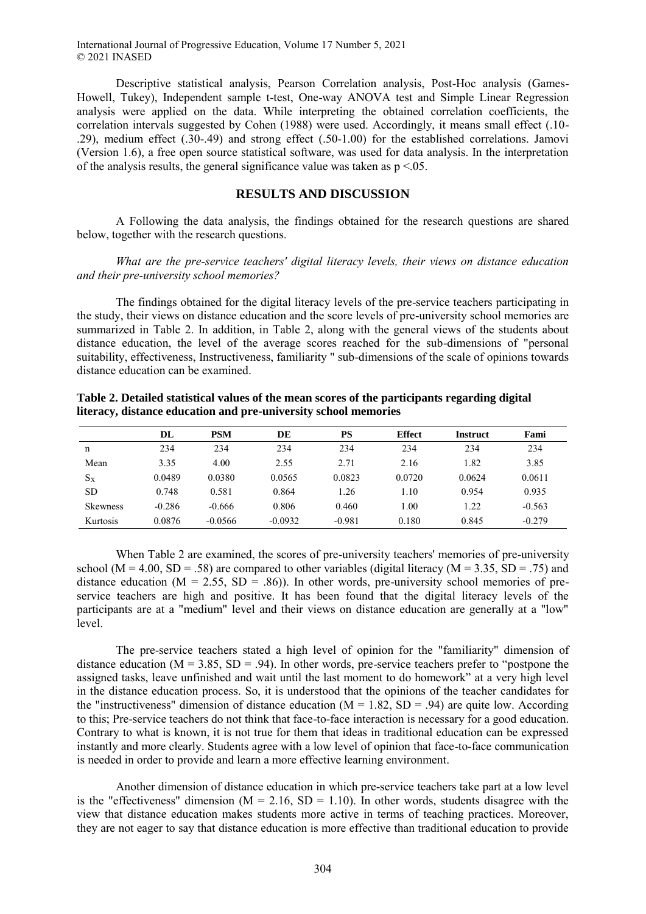Descriptive statistical analysis, Pearson Correlation analysis, Post-Hoc analysis (Games-Howell, Tukey), Independent sample t-test, One-way ANOVA test and Simple Linear Regression analysis were applied on the data. While interpreting the obtained correlation coefficients, the correlation intervals suggested by Cohen (1988) were used. Accordingly, it means small effect (.10- .29), medium effect (.30-.49) and strong effect (.50-1.00) for the established correlations. Jamovi (Version 1.6), a free open source statistical software, was used for data analysis. In the interpretation of the analysis results, the general significance value was taken as  $p < 0.05$ .

## **RESULTS AND DISCUSSION**

A Following the data analysis, the findings obtained for the research questions are shared below, together with the research questions.

## *What are the pre-service teachers' digital literacy levels, their views on distance education and their pre-university school memories?*

The findings obtained for the digital literacy levels of the pre-service teachers participating in the study, their views on distance education and the score levels of pre-university school memories are summarized in Table 2. In addition, in Table 2, along with the general views of the students about distance education, the level of the average scores reached for the sub-dimensions of "personal suitability, effectiveness, Instructiveness, familiarity " sub-dimensions of the scale of opinions towards distance education can be examined.

|  | Table 2. Detailed statistical values of the mean scores of the participants regarding digital |  |  |
|--|-----------------------------------------------------------------------------------------------|--|--|
|  | literacy, distance education and pre-university school memories                               |  |  |

|                 | DL       | <b>PSM</b> | DE        | <b>PS</b> | <b>Effect</b> | <b>Instruct</b> | Fami     |
|-----------------|----------|------------|-----------|-----------|---------------|-----------------|----------|
| n               | 234      | 234        | 234       | 234       | 234           | 234             | 234      |
| Mean            | 3.35     | 4.00       | 2.55      | 2.71      | 2.16          | 1.82            | 3.85     |
| $S_X$           | 0.0489   | 0.0380     | 0.0565    | 0.0823    | 0.0720        | 0.0624          | 0.0611   |
| SD.             | 0.748    | 0.581      | 0.864     | 1.26      | 1.10          | 0.954           | 0.935    |
| <b>Skewness</b> | $-0.286$ | $-0.666$   | 0.806     | 0.460     | 1.00          | 1.22            | $-0.563$ |
| Kurtosis        | 0.0876   | $-0.0566$  | $-0.0932$ | $-0.981$  | 0.180         | 0.845           | $-0.279$ |

When Table 2 are examined, the scores of pre-university teachers' memories of pre-university school ( $M = 4.00$ ,  $SD = .58$ ) are compared to other variables (digital literacy ( $M = 3.35$ ,  $SD = .75$ ) and distance education  $(M = 2.55, SD = .86)$ ). In other words, pre-university school memories of preservice teachers are high and positive. It has been found that the digital literacy levels of the participants are at a "medium" level and their views on distance education are generally at a "low" level.

The pre-service teachers stated a high level of opinion for the "familiarity" dimension of distance education ( $M = 3.85$ ,  $SD = .94$ ). In other words, pre-service teachers prefer to "postpone the assigned tasks, leave unfinished and wait until the last moment to do homework" at a very high level in the distance education process. So, it is understood that the opinions of the teacher candidates for the "instructiveness" dimension of distance education ( $M = 1.82$ ,  $SD = .94$ ) are quite low. According to this; Pre-service teachers do not think that face-to-face interaction is necessary for a good education. Contrary to what is known, it is not true for them that ideas in traditional education can be expressed instantly and more clearly. Students agree with a low level of opinion that face-to-face communication is needed in order to provide and learn a more effective learning environment.

Another dimension of distance education in which pre-service teachers take part at a low level is the "effectiveness" dimension ( $M = 2.16$ ,  $SD = 1.10$ ). In other words, students disagree with the view that distance education makes students more active in terms of teaching practices. Moreover, they are not eager to say that distance education is more effective than traditional education to provide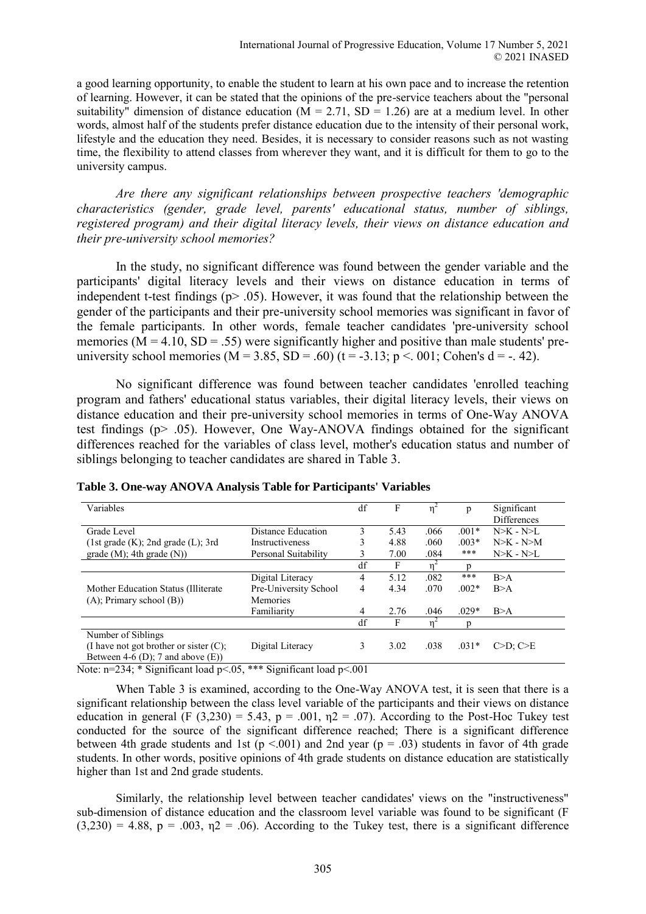a good learning opportunity, to enable the student to learn at his own pace and to increase the retention of learning. However, it can be stated that the opinions of the pre-service teachers about the "personal suitability" dimension of distance education ( $\overline{M} = 2.71$ ,  $SD = 1.26$ ) are at a medium level. In other words, almost half of the students prefer distance education due to the intensity of their personal work, lifestyle and the education they need. Besides, it is necessary to consider reasons such as not wasting time, the flexibility to attend classes from wherever they want, and it is difficult for them to go to the university campus.

*Are there any significant relationships between prospective teachers 'demographic characteristics (gender, grade level, parents' educational status, number of siblings, registered program) and their digital literacy levels, their views on distance education and their pre-university school memories?* 

In the study, no significant difference was found between the gender variable and the participants' digital literacy levels and their views on distance education in terms of independent t-test findings ( $p$  $>$  .05). However, it was found that the relationship between the gender of the participants and their pre-university school memories was significant in favor of the female participants. In other words, female teacher candidates 'pre-university school memories ( $\overline{M} = 4.10$ ,  $\overline{SD} = .55$ ) were significantly higher and positive than male students' preuniversity school memories ( $M = 3.85$ ,  $SD = .60$ ) ( $t = -3.13$ ;  $p < .001$ ; Cohen's  $d = -.42$ ).

No significant difference was found between teacher candidates 'enrolled teaching program and fathers' educational status variables, their digital literacy levels, their views on distance education and their pre-university school memories in terms of One-Way ANOVA test findings (p> .05). However, One Way-ANOVA findings obtained for the significant differences reached for the variables of class level, mother's education status and number of siblings belonging to teacher candidates are shared in Table 3.

| Variables                                 |                       | df | F    |      | p       | Significant        |
|-------------------------------------------|-----------------------|----|------|------|---------|--------------------|
|                                           |                       |    |      |      |         | <b>Differences</b> |
| Grade Level                               | Distance Education    | 3  | 5.43 | .066 | $.001*$ | $N>K - N>L$        |
| (1st grade (K); 2nd grade (L); 3rd)       | Instructiveness       |    | 4.88 | .060 | $.003*$ | $N>K - N>M$        |
| grade $(M)$ ; 4th grade $(N)$ )           | Personal Suitability  |    | 7.00 | .084 | $***$   | $N>K - N>L$        |
|                                           |                       | df |      | 'n   |         |                    |
|                                           | Digital Literacy      | 4  | 5.12 | .082 | $***$   | B>A                |
| Mother Education Status (Illiterate)      | Pre-University School | 4  | 4.34 | .070 | $.002*$ | B>A                |
| (A); Primary school (B))                  | Memories              |    |      |      |         |                    |
|                                           | Familiarity           | 4  | 2.76 | .046 | $.029*$ | B>A                |
|                                           |                       | df | F    | 'n   |         |                    |
| Number of Siblings                        |                       |    |      |      |         |                    |
| (I have not got brother or sister $(C)$ ; | Digital Literacy      | 3  | 3.02 | .038 | $.031*$ | $C>D: C \ge E$     |
| Between 4-6 (D); 7 and above $(E)$ )      |                       |    |      |      |         |                    |

#### **Table 3. One-way ANOVA Analysis Table for Participants' Variables**

Note: n=234; \* Significant load p<.05, \*\*\* Significant load p<.001

When Table 3 is examined, according to the One-Way ANOVA test, it is seen that there is a significant relationship between the class level variable of the participants and their views on distance education in general (F (3,230) = 5.43, p = .001,  $n2 = 0.07$ ). According to the Post-Hoc Tukey test conducted for the source of the significant difference reached; There is a significant difference between 4th grade students and 1st  $(p \le 0.001)$  and 2nd year  $(p = .03)$  students in favor of 4th grade students. In other words, positive opinions of 4th grade students on distance education are statistically higher than 1st and 2nd grade students.

Similarly, the relationship level between teacher candidates' views on the "instructiveness" sub-dimension of distance education and the classroom level variable was found to be significant (F  $(3,230) = 4.88$ ,  $p = .003$ ,  $p = .06$ ). According to the Tukey test, there is a significant difference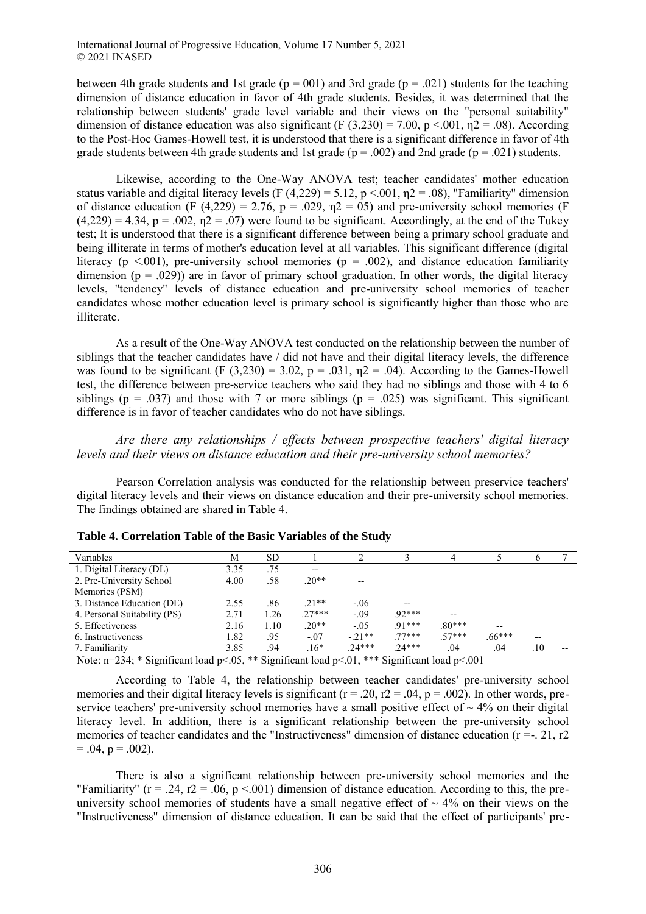between 4th grade students and 1st grade ( $p = 001$ ) and 3rd grade ( $p = .021$ ) students for the teaching dimension of distance education in favor of 4th grade students. Besides, it was determined that the relationship between students' grade level variable and their views on the "personal suitability" dimension of distance education was also significant (F  $(3,230) = 7.00$ , p <.001,  $n2 = .08$ ). According to the Post-Hoc Games-Howell test, it is understood that there is a significant difference in favor of 4th grade students between 4th grade students and 1st grade ( $p = .002$ ) and 2nd grade ( $p = .021$ ) students.

Likewise, according to the One-Way ANOVA test; teacher candidates' mother education status variable and digital literacy levels (F (4,229) = 5.12, p <.001,  $n^2$  = .08), "Familiarity" dimension of distance education (F (4,229) = 2.76, p = .029,  $n2 = 0.05$ ) and pre-university school memories (F  $(4,229) = 4.34$ ,  $p = .002$ ,  $p = .07$ ) were found to be significant. Accordingly, at the end of the Tukey test; It is understood that there is a significant difference between being a primary school graduate and being illiterate in terms of mother's education level at all variables. This significant difference (digital literacy (p  $\leq$  001), pre-university school memories (p = .002), and distance education familiarity dimension ( $p = .029$ )) are in favor of primary school graduation. In other words, the digital literacy levels, "tendency" levels of distance education and pre-university school memories of teacher candidates whose mother education level is primary school is significantly higher than those who are illiterate.

As a result of the One-Way ANOVA test conducted on the relationship between the number of siblings that the teacher candidates have / did not have and their digital literacy levels, the difference was found to be significant (F (3,230) = 3.02, p = .031,  $n2 = .04$ ). According to the Games-Howell test, the difference between pre-service teachers who said they had no siblings and those with 4 to 6 siblings ( $p = .037$ ) and those with 7 or more siblings ( $p = .025$ ) was significant. This significant difference is in favor of teacher candidates who do not have siblings.

*Are there any relationships / effects between prospective teachers' digital literacy levels and their views on distance education and their pre-university school memories?* 

Pearson Correlation analysis was conducted for the relationship between preservice teachers' digital literacy levels and their views on distance education and their pre-university school memories. The findings obtained are shared in Table 4.

| Variables                    | М    | SD   |         |          |          |          |                   |         |       |
|------------------------------|------|------|---------|----------|----------|----------|-------------------|---------|-------|
| 1. Digital Literacy (DL)     | 3.35 | .75  | $- -$   |          |          |          |                   |         |       |
| 2. Pre-University School     | 4.00 | .58  | $.20**$ | --       |          |          |                   |         |       |
| Memories (PSM)               |      |      |         |          |          |          |                   |         |       |
| 3. Distance Education (DE)   | 2.55 | .86  | $21**$  | $-06$    | $- -$    |          |                   |         |       |
| 4. Personal Suitability (PS) | 2.71 | 1.26 | $27***$ | $-0.09$  | $92***$  | $- -$    |                   |         |       |
| 5. Effectiveness             | 2.16 | 1.10 | $.20**$ | $-0.5$   | $91***$  | $.80***$ | $\qquad \qquad -$ |         |       |
| 6. Instructiveness           | 1.82 | .95  | $-.07$  | $-21**$  | $77***$  | $57***$  | $.66***$          | $- -$   |       |
| 7. Familiarity               | 3.85 | .94  | $.16*$  | $.24***$ | $.24***$ | .04      | .04               | $.10\,$ | $- -$ |
|                              |      |      |         |          |          |          |                   |         |       |

|  |  | Table 4. Correlation Table of the Basic Variables of the Study |  |  |  |  |  |  |
|--|--|----------------------------------------------------------------|--|--|--|--|--|--|
|--|--|----------------------------------------------------------------|--|--|--|--|--|--|

Note:  $n=234$ ; \* Significant load  $p<0.05$ , \*\* Significant load  $p<0.01$ , \*\*\* Significant load  $p<0.001$ 

According to Table 4, the relationship between teacher candidates' pre-university school memories and their digital literacy levels is significant ( $r = .20$ ,  $r = .04$ ,  $p = .002$ ). In other words, preservice teachers' pre-university school memories have a small positive effect of  $\sim$  4% on their digital literacy level. In addition, there is a significant relationship between the pre-university school memories of teacher candidates and the "Instructiveness" dimension of distance education (r =-. 21, r2  $= .04, p = .002$ ).

There is also a significant relationship between pre-university school memories and the "Familiarity" ( $r = .24$ ,  $r2 = .06$ ,  $p < .001$ ) dimension of distance education. According to this, the preuniversity school memories of students have a small negative effect of  $\sim$  4% on their views on the "Instructiveness" dimension of distance education. It can be said that the effect of participants' pre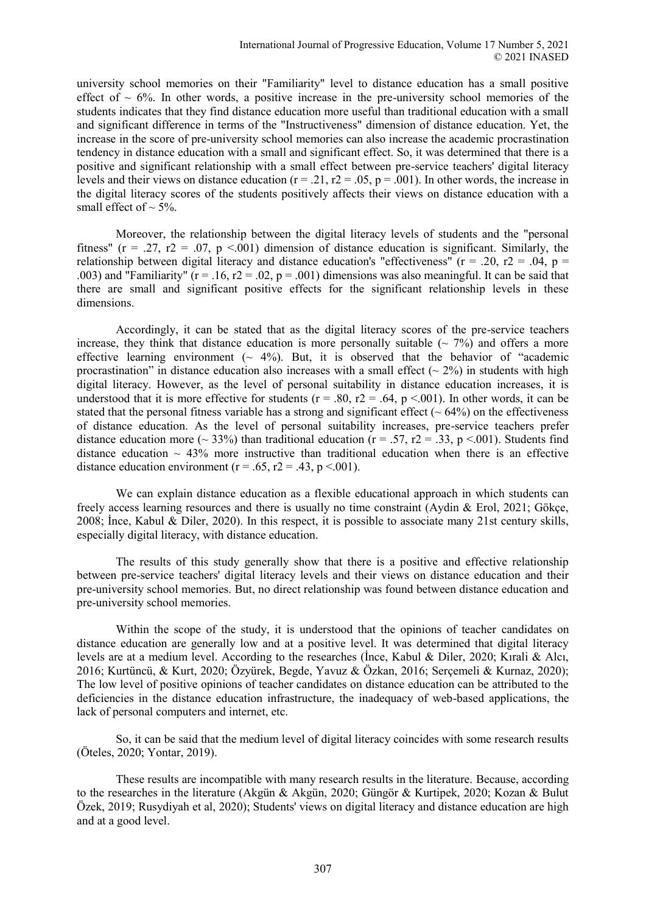university school memories on their "Familiarity" level to distance education has a small positive effect of  $\sim$  6%. In other words, a positive increase in the pre-university school memories of the students indicates that they find distance education more useful than traditional education with a small and significant difference in terms of the "Instructiveness" dimension of distance education. Yet, the increase in the score of pre-university school memories can also increase the academic procrastination tendency in distance education with a small and significant effect. So, it was determined that there is a positive and significant relationship with a small effect between pre-service teachers' digital literacy levels and their views on distance education ( $r = .21$ ,  $r = .05$ ,  $p = .001$ ). In other words, the increase in the digital literacy scores of the students positively affects their views on distance education with a small effect of  $\sim$  5%.

Moreover, the relationship between the digital literacy levels of students and the "personal fitness" (r = .27, r2 = .07, p <.001) dimension of distance education is significant. Similarly, the relationship between digital literacy and distance education's "effectiveness" ( $r = .20$ ,  $r = .04$ ,  $p =$ .003) and "Familiarity" ( $r = .16$ ,  $r = .02$ ,  $p = .001$ ) dimensions was also meaningful. It can be said that there are small and significant positive effects for the significant relationship levels in these dimensions.

Accordingly, it can be stated that as the digital literacy scores of the pre-service teachers increase, they think that distance education is more personally suitable  $($   $\sim$  7%) and offers a more effective learning environment ( $\sim$  4%). But, it is observed that the behavior of "academic procrastination" in distance education also increases with a small effect  $({\sim} 2\%)$  in students with high digital literacy. However, as the level of personal suitability in distance education increases, it is understood that it is more effective for students ( $r = .80$ ,  $r = .64$ ,  $p < .001$ ). In other words, it can be stated that the personal fitness variable has a strong and significant effect ( $\sim$  64%) on the effectiveness of distance education. As the level of personal suitability increases, pre-service teachers prefer distance education more ( $\sim$  33%) than traditional education (r = .57, r2 = .33, p <.001). Students find distance education  $\sim$  43% more instructive than traditional education when there is an effective distance education environment ( $r = .65$ ,  $r2 = .43$ ,  $p < .001$ ).

We can explain distance education as a flexible educational approach in which students can freely access learning resources and there is usually no time constraint (Aydin & Erol, 2021; Gökçe, 2008; İnce, Kabul & Diler, 2020). In this respect, it is possible to associate many 21st century skills, especially digital literacy, with distance education.

The results of this study generally show that there is a positive and effective relationship between pre-service teachers' digital literacy levels and their views on distance education and their pre-university school memories. But, no direct relationship was found between distance education and pre-university school memories.

Within the scope of the study, it is understood that the opinions of teacher candidates on distance education are generally low and at a positive level. It was determined that digital literacy levels are at a medium level. According to the researches (İnce, Kabul & Diler, 2020; Kırali & Alcı, 2016; Kurtüncü, & Kurt, 2020; Özyürek, Begde, Yavuz & Özkan, 2016; Serçemeli & Kurnaz, 2020); The low level of positive opinions of teacher candidates on distance education can be attributed to the deficiencies in the distance education infrastructure, the inadequacy of web-based applications, the lack of personal computers and internet, etc.

So, it can be said that the medium level of digital literacy coincides with some research results (Öteles, 2020; Yontar, 2019).

These results are incompatible with many research results in the literature. Because, according to the researches in the literature (Akgün & Akgün, 2020; Güngör & Kurtipek, 2020; Kozan & Bulut Özek, 2019; Rusydiyah et al, 2020); Students' views on digital literacy and distance education are high and at a good level.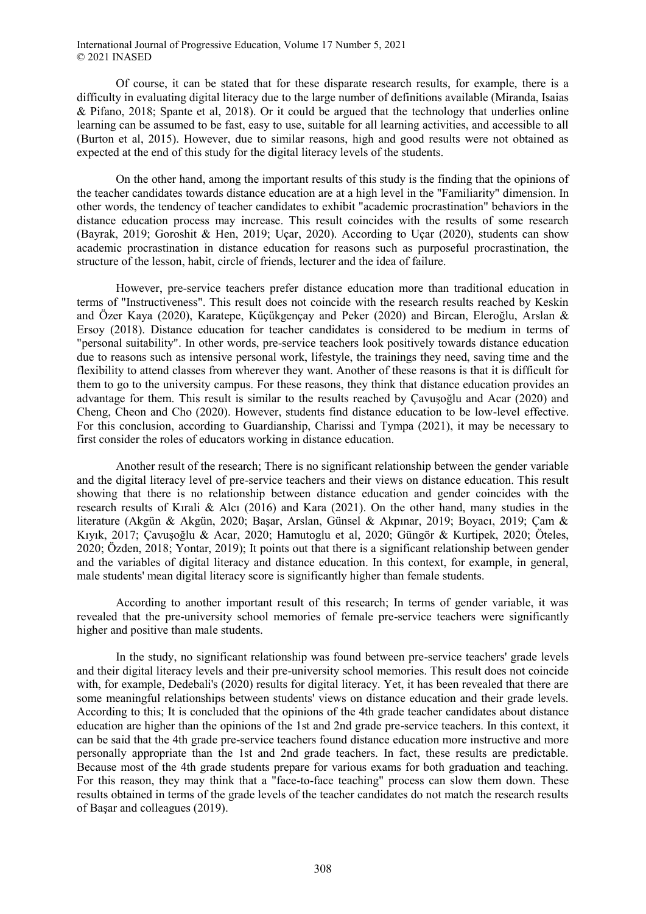Of course, it can be stated that for these disparate research results, for example, there is a difficulty in evaluating digital literacy due to the large number of definitions available (Miranda, Isaias & Pifano, 2018; Spante et al, 2018). Or it could be argued that the technology that underlies online learning can be assumed to be fast, easy to use, suitable for all learning activities, and accessible to all (Burton et al, 2015). However, due to similar reasons, high and good results were not obtained as expected at the end of this study for the digital literacy levels of the students.

On the other hand, among the important results of this study is the finding that the opinions of the teacher candidates towards distance education are at a high level in the "Familiarity" dimension. In other words, the tendency of teacher candidates to exhibit "academic procrastination" behaviors in the distance education process may increase. This result coincides with the results of some research (Bayrak, 2019; Goroshit & Hen, 2019; Uçar, 2020). According to Uçar (2020), students can show academic procrastination in distance education for reasons such as purposeful procrastination, the structure of the lesson, habit, circle of friends, lecturer and the idea of failure.

However, pre-service teachers prefer distance education more than traditional education in terms of "Instructiveness". This result does not coincide with the research results reached by Keskin and Özer Kaya (2020), Karatepe, Küçükgençay and Peker (2020) and Bircan, Eleroğlu, Arslan & Ersoy (2018). Distance education for teacher candidates is considered to be medium in terms of "personal suitability". In other words, pre-service teachers look positively towards distance education due to reasons such as intensive personal work, lifestyle, the trainings they need, saving time and the flexibility to attend classes from wherever they want. Another of these reasons is that it is difficult for them to go to the university campus. For these reasons, they think that distance education provides an advantage for them. This result is similar to the results reached by Çavuşoğlu and Acar (2020) and Cheng, Cheon and Cho (2020). However, students find distance education to be low-level effective. For this conclusion, according to Guardianship, Charissi and Tympa (2021), it may be necessary to first consider the roles of educators working in distance education.

Another result of the research; There is no significant relationship between the gender variable and the digital literacy level of pre-service teachers and their views on distance education. This result showing that there is no relationship between distance education and gender coincides with the research results of Kırali & Alcı (2016) and Kara (2021). On the other hand, many studies in the literature (Akgün & Akgün, 2020; Başar, Arslan, Günsel & Akpınar, 2019; Boyacı, 2019; Çam & Kıyık, 2017; Çavuşoğlu & Acar, 2020; Hamutoglu et al, 2020; Güngör & Kurtipek, 2020; Öteles, 2020; Özden, 2018; Yontar, 2019); It points out that there is a significant relationship between gender and the variables of digital literacy and distance education. In this context, for example, in general, male students' mean digital literacy score is significantly higher than female students.

According to another important result of this research; In terms of gender variable, it was revealed that the pre-university school memories of female pre-service teachers were significantly higher and positive than male students.

In the study, no significant relationship was found between pre-service teachers' grade levels and their digital literacy levels and their pre-university school memories. This result does not coincide with, for example, Dedebali's (2020) results for digital literacy. Yet, it has been revealed that there are some meaningful relationships between students' views on distance education and their grade levels. According to this; It is concluded that the opinions of the 4th grade teacher candidates about distance education are higher than the opinions of the 1st and 2nd grade pre-service teachers. In this context, it can be said that the 4th grade pre-service teachers found distance education more instructive and more personally appropriate than the 1st and 2nd grade teachers. In fact, these results are predictable. Because most of the 4th grade students prepare for various exams for both graduation and teaching. For this reason, they may think that a "face-to-face teaching" process can slow them down. These results obtained in terms of the grade levels of the teacher candidates do not match the research results of Başar and colleagues (2019).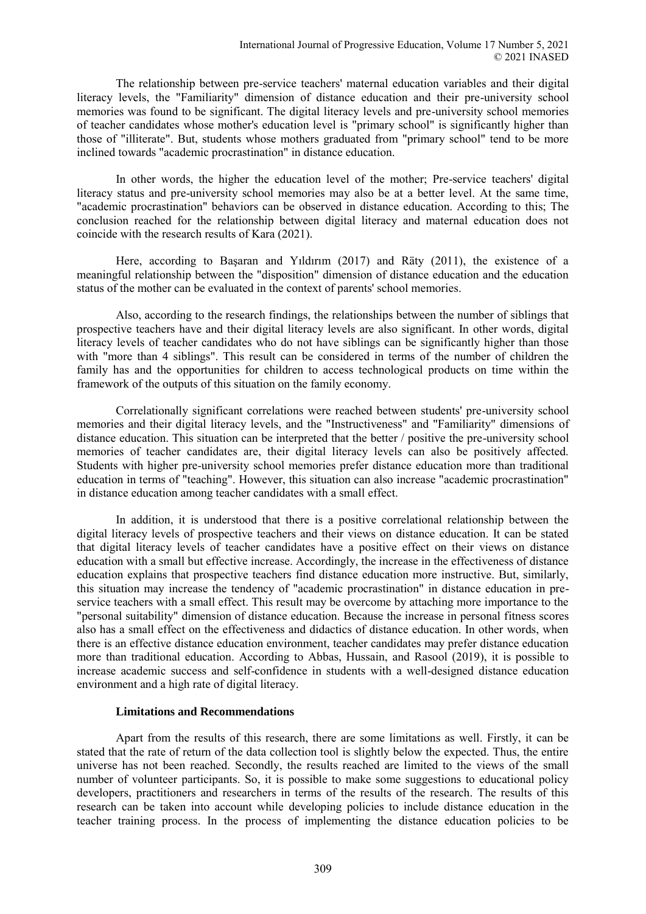The relationship between pre-service teachers' maternal education variables and their digital literacy levels, the "Familiarity" dimension of distance education and their pre-university school memories was found to be significant. The digital literacy levels and pre-university school memories of teacher candidates whose mother's education level is "primary school" is significantly higher than those of "illiterate". But, students whose mothers graduated from "primary school" tend to be more inclined towards "academic procrastination" in distance education.

In other words, the higher the education level of the mother; Pre-service teachers' digital literacy status and pre-university school memories may also be at a better level. At the same time, "academic procrastination" behaviors can be observed in distance education. According to this; The conclusion reached for the relationship between digital literacy and maternal education does not coincide with the research results of Kara (2021).

Here, according to Başaran and Yıldırım (2017) and Räty (2011), the existence of a meaningful relationship between the "disposition" dimension of distance education and the education status of the mother can be evaluated in the context of parents' school memories.

Also, according to the research findings, the relationships between the number of siblings that prospective teachers have and their digital literacy levels are also significant. In other words, digital literacy levels of teacher candidates who do not have siblings can be significantly higher than those with "more than 4 siblings". This result can be considered in terms of the number of children the family has and the opportunities for children to access technological products on time within the framework of the outputs of this situation on the family economy.

Correlationally significant correlations were reached between students' pre-university school memories and their digital literacy levels, and the "Instructiveness" and "Familiarity" dimensions of distance education. This situation can be interpreted that the better / positive the pre-university school memories of teacher candidates are, their digital literacy levels can also be positively affected. Students with higher pre-university school memories prefer distance education more than traditional education in terms of "teaching". However, this situation can also increase "academic procrastination" in distance education among teacher candidates with a small effect.

In addition, it is understood that there is a positive correlational relationship between the digital literacy levels of prospective teachers and their views on distance education. It can be stated that digital literacy levels of teacher candidates have a positive effect on their views on distance education with a small but effective increase. Accordingly, the increase in the effectiveness of distance education explains that prospective teachers find distance education more instructive. But, similarly, this situation may increase the tendency of "academic procrastination" in distance education in preservice teachers with a small effect. This result may be overcome by attaching more importance to the "personal suitability" dimension of distance education. Because the increase in personal fitness scores also has a small effect on the effectiveness and didactics of distance education. In other words, when there is an effective distance education environment, teacher candidates may prefer distance education more than traditional education. According to Abbas, Hussain, and Rasool (2019), it is possible to increase academic success and self-confidence in students with a well-designed distance education environment and a high rate of digital literacy.

#### **Limitations and Recommendations**

Apart from the results of this research, there are some limitations as well. Firstly, it can be stated that the rate of return of the data collection tool is slightly below the expected. Thus, the entire universe has not been reached. Secondly, the results reached are limited to the views of the small number of volunteer participants. So, it is possible to make some suggestions to educational policy developers, practitioners and researchers in terms of the results of the research. The results of this research can be taken into account while developing policies to include distance education in the teacher training process. In the process of implementing the distance education policies to be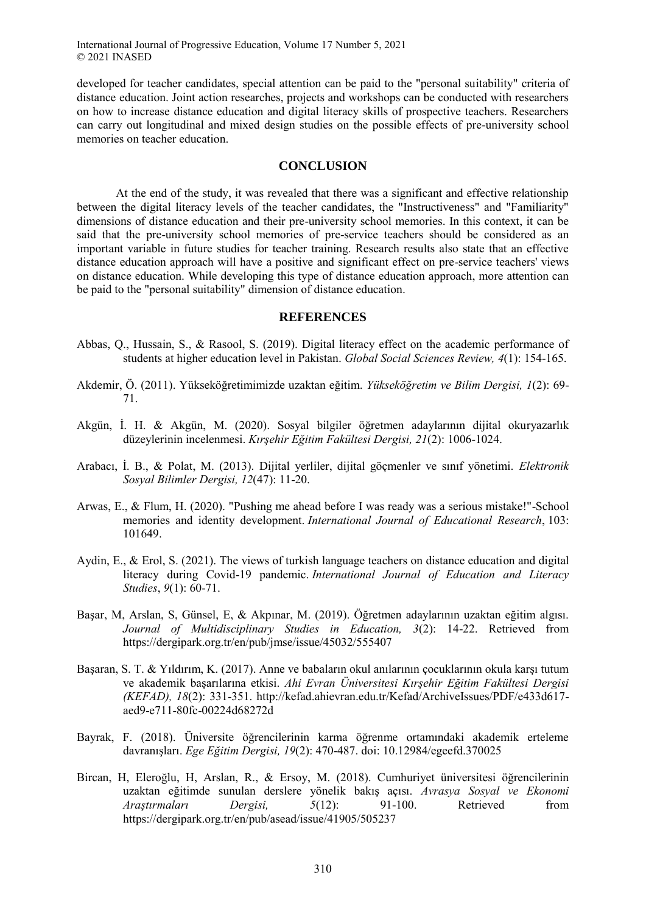developed for teacher candidates, special attention can be paid to the "personal suitability" criteria of distance education. Joint action researches, projects and workshops can be conducted with researchers on how to increase distance education and digital literacy skills of prospective teachers. Researchers can carry out longitudinal and mixed design studies on the possible effects of pre-university school memories on teacher education.

# **CONCLUSION**

At the end of the study, it was revealed that there was a significant and effective relationship between the digital literacy levels of the teacher candidates, the "Instructiveness" and "Familiarity" dimensions of distance education and their pre-university school memories. In this context, it can be said that the pre-university school memories of pre-service teachers should be considered as an important variable in future studies for teacher training. Research results also state that an effective distance education approach will have a positive and significant effect on pre-service teachers' views on distance education. While developing this type of distance education approach, more attention can be paid to the "personal suitability" dimension of distance education.

#### **REFERENCES**

- Abbas, Q., Hussain, S., & Rasool, S. (2019). Digital literacy effect on the academic performance of students at higher education level in Pakistan. *Global Social Sciences Review, 4*(1): 154-165.
- Akdemir, Ö. (2011). Yükseköğretimimizde uzaktan eğitim. *Yükseköğretim ve Bilim Dergisi, 1*(2): 69- 71.
- Akgün, İ. H. & Akgün, M. (2020). Sosyal bilgiler öğretmen adaylarının dijital okuryazarlık düzeylerinin incelenmesi. *Kırşehir Eğitim Fakültesi Dergisi, 21*(2): 1006-1024.
- Arabacı, İ. B., & Polat, M. (2013). Dijital yerliler, dijital göçmenler ve sınıf yönetimi. *Elektronik Sosyal Bilimler Dergisi, 12*(47): 11-20.
- Arwas, E., & Flum, H. (2020). "Pushing me ahead before I was ready was a serious mistake!"-School memories and identity development. *International Journal of Educational Research*, 103: 101649.
- Aydin, E., & Erol, S. (2021). The views of turkish language teachers on distance education and digital literacy during Covid-19 pandemic. *International Journal of Education and Literacy Studies*, *9*(1): 60-71.
- Başar, M, Arslan, S, Günsel, E, & Akpınar, M. (2019). Öğretmen adaylarının uzaktan eğitim algısı. *Journal of Multidisciplinary Studies in Education, 3*(2): 14-22. Retrieved from https://dergipark.org.tr/en/pub/jmse/issue/45032/555407
- Başaran, S. T. & Yıldırım, K. (2017). Anne ve babaların okul anılarının çocuklarının okula karşı tutum ve akademik başarılarına etkisi. *Ahi Evran Üniversitesi Kırşehir Eğitim Fakültesi Dergisi (KEFAD), 18*(2): 331-351. http://kefad.ahievran.edu.tr/Kefad/ArchiveIssues/PDF/e433d617 aed9-e711-80fc-00224d68272d
- Bayrak, F. (2018). Üniversite öğrencilerinin karma öğrenme ortamındaki akademik erteleme davranışları. *Ege Eğitim Dergisi, 19*(2): 470-487. doi: 10.12984/egeefd.370025
- Bircan, H, Eleroğlu, H, Arslan, R., & Ersoy, M. (2018). Cumhuriyet üniversitesi öğrencilerinin uzaktan eğitimde sunulan derslere yönelik bakış açısı. *Avrasya Sosyal ve Ekonomi Araştırmaları Dergisi, 5*(12): 91-100. Retrieved from https://dergipark.org.tr/en/pub/asead/issue/41905/505237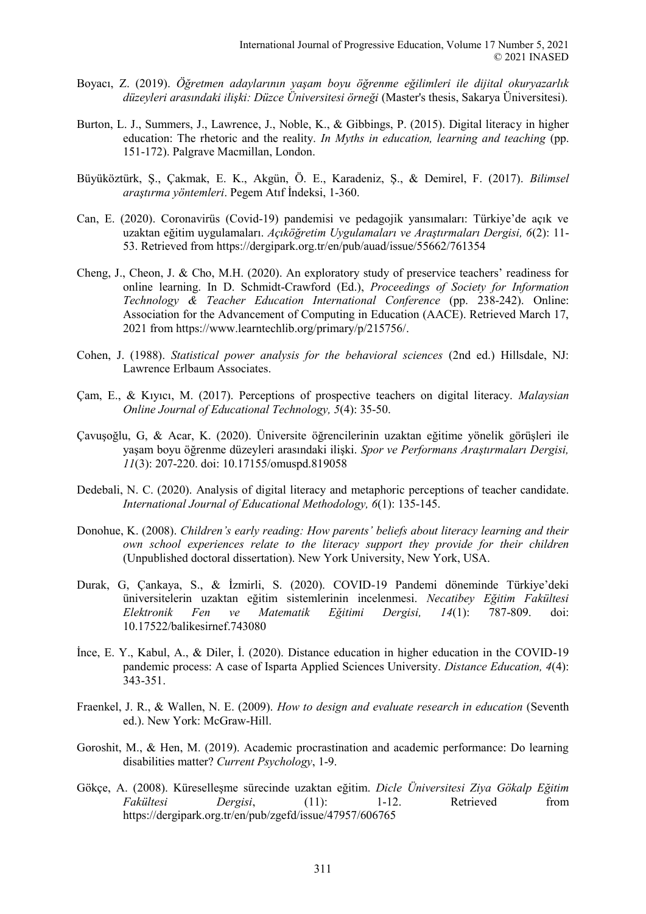- Boyacı, Z. (2019). *Öğretmen adaylarının yaşam boyu öğrenme eğilimleri ile dijital okuryazarlık düzeyleri arasındaki ilişki: Düzce Üniversitesi örneği* (Master's thesis, Sakarya Üniversitesi).
- Burton, L. J., Summers, J., Lawrence, J., Noble, K., & Gibbings, P. (2015). Digital literacy in higher education: The rhetoric and the reality. *In Myths in education, learning and teaching* (pp. 151-172). Palgrave Macmillan, London.
- Büyüköztürk, Ş., Çakmak, E. K., Akgün, Ö. E., Karadeniz, Ş., & Demirel, F. (2017). *Bilimsel araştırma yöntemleri*. Pegem Atıf İndeksi, 1-360.
- Can, E. (2020). Coronavirüs (Covid-19) pandemisi ve pedagojik yansımaları: Türkiye'de açık ve uzaktan eğitim uygulamaları. *Açıköğretim Uygulamaları ve Araştırmaları Dergisi, 6*(2): 11- 53. Retrieved from https://dergipark.org.tr/en/pub/auad/issue/55662/761354
- Cheng, J., Cheon, J. & Cho, M.H. (2020). An exploratory study of preservice teachers' readiness for online learning. In D. Schmidt-Crawford (Ed.), *Proceedings of Society for Information Technology & Teacher Education International Conference* (pp. 238-242). Online: Association for the Advancement of Computing in Education (AACE). Retrieved March 17, 2021 from https://www.learntechlib.org/primary/p/215756/.
- Cohen, J. (1988). *Statistical power analysis for the behavioral sciences* (2nd ed.) Hillsdale, NJ: Lawrence Erlbaum Associates.
- Çam, E., & Kıyıcı, M. (2017). Perceptions of prospective teachers on digital literacy. *Malaysian Online Journal of Educational Technology, 5*(4): 35-50.
- Çavuşoğlu, G, & Acar, K. (2020). Üniversite öğrencilerinin uzaktan eğitime yönelik görüşleri ile yaşam boyu öğrenme düzeyleri arasındaki ilişki. *Spor ve Performans Araştırmaları Dergisi, 11*(3): 207-220. doi: 10.17155/omuspd.819058
- Dedebali, N. C. (2020). Analysis of digital literacy and metaphoric perceptions of teacher candidate. *International Journal of Educational Methodology, 6*(1): 135-145.
- Donohue, K. (2008). *Children's early reading: How parents' beliefs about literacy learning and their own school experiences relate to the literacy support they provide for their children*  (Unpublished doctoral dissertation). New York University, New York, USA.
- Durak, G, Çankaya, S., & İzmirli, S. (2020). COVID-19 Pandemi döneminde Türkiye'deki üniversitelerin uzaktan eğitim sistemlerinin incelenmesi. *Necatibey Eğitim Fakültesi Elektronik Fen ve Matematik Eğitimi Dergisi, 14*(1): 787-809. doi: 10.17522/balikesirnef.743080
- İnce, E. Y., Kabul, A., & Diler, İ. (2020). Distance education in higher education in the COVID-19 pandemic process: A case of Isparta Applied Sciences University. *Distance Education, 4*(4): 343-351.
- Fraenkel, J. R., & Wallen, N. E. (2009). *How to design and evaluate research in education* (Seventh ed.). New York: McGraw-Hill.
- Goroshit, M., & Hen, M. (2019). Academic procrastination and academic performance: Do learning disabilities matter? *Current Psychology*, 1-9.
- Gökçe, A. (2008). Küreselleşme sürecinde uzaktan eğitim. *Dicle Üniversitesi Ziya Gökalp Eğitim Fakültesi Dergisi*, (11): 1-12. Retrieved from https://dergipark.org.tr/en/pub/zgefd/issue/47957/606765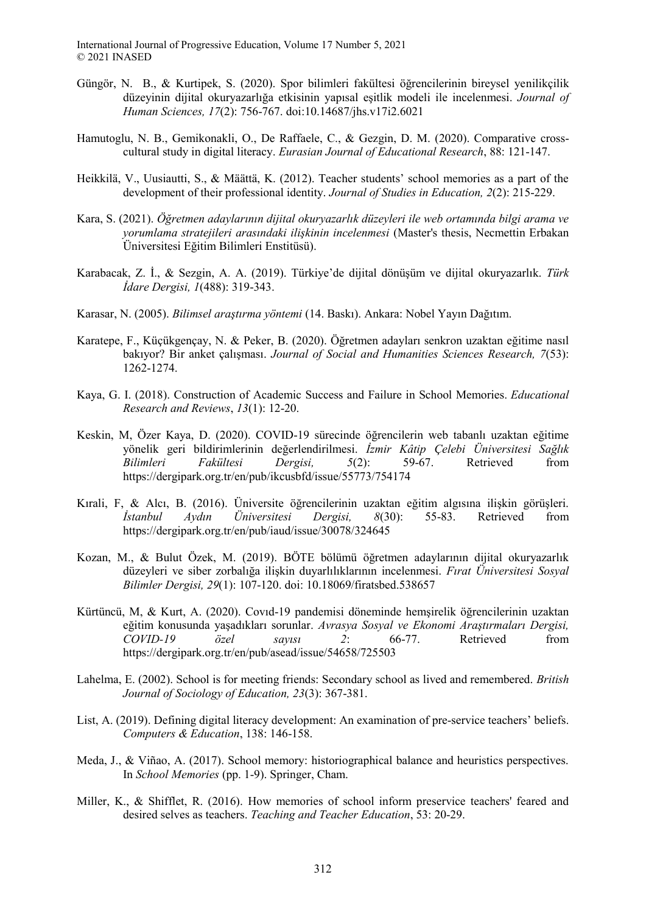- Güngör, N. B., & Kurtipek, S. (2020). Spor bilimleri fakültesi öğrencilerinin bireysel yenilikçilik düzeyinin dijital okuryazarlığa etkisinin yapısal eşitlik modeli ile incelenmesi. *Journal of Human Sciences, 17*(2): 756-767. doi:10.14687/jhs.v17i2.6021
- Hamutoglu, N. B., Gemikonakli, O., De Raffaele, C., & Gezgin, D. M. (2020). Comparative crosscultural study in digital literacy. *Eurasian Journal of Educational Research*, 88: 121-147.
- Heikkilä, V., Uusiautti, S., & Määttä, K. (2012). Teacher students' school memories as a part of the development of their professional identity. *Journal of Studies in Education, 2*(2): 215-229.
- Kara, S. (2021). *Öğretmen adaylarının dijital okuryazarlık düzeyleri ile web ortamında bilgi arama ve yorumlama stratejileri arasındaki ilişkinin incelenmesi* (Master's thesis, Necmettin Erbakan Üniversitesi Eğitim Bilimleri Enstitüsü).
- Karabacak, Z. İ., & Sezgin, A. A. (2019). Türkiye'de dijital dönüşüm ve dijital okuryazarlık. *Türk İdare Dergisi, 1*(488): 319-343.
- Karasar, N. (2005). *Bilimsel araştırma yöntemi* (14. Baskı). Ankara: Nobel Yayın Dağıtım.
- Karatepe, F., Küçükgençay, N. & Peker, B. (2020). Öğretmen adayları senkron uzaktan eğitime nasıl bakıyor? Bir anket çalışması. *Journal of Social and Humanities Sciences Research, 7*(53): 1262-1274.
- Kaya, G. I. (2018). Construction of Academic Success and Failure in School Memories. *Educational Research and Reviews*, *13*(1): 12-20.
- Keskin, M, Özer Kaya, D. (2020). COVID-19 sürecinde öğrencilerin web tabanlı uzaktan eğitime yönelik geri bildirimlerinin değerlendirilmesi. *İzmir Kâtip Çelebi Üniversitesi Sağlık Bilimleri Fakültesi Dergisi, 5*(2): 59-67. Retrieved from https://dergipark.org.tr/en/pub/ikcusbfd/issue/55773/754174
- Kırali, F, & Alcı, B. (2016). Üniversite öğrencilerinin uzaktan eğitim algısına ilişkin görüşleri. *İstanbul Aydın Üniversitesi Dergisi, 8*(30): 55-83. Retrieved from https://dergipark.org.tr/en/pub/iaud/issue/30078/324645
- Kozan, M., & Bulut Özek, M. (2019). BÖTE bölümü öğretmen adaylarının dijital okuryazarlık düzeyleri ve siber zorbalığa ilişkin duyarlılıklarının incelenmesi. *Fırat Üniversitesi Sosyal Bilimler Dergisi, 29*(1): 107-120. doi: 10.18069/firatsbed.538657
- Kürtüncü, M, & Kurt, A. (2020). Covıd-19 pandemisi döneminde hemşirelik öğrencilerinin uzaktan eğitim konusunda yaşadıkları sorunlar. *Avrasya Sosyal ve Ekonomi Araştırmaları Dergisi, COVID-19 özel sayısı 2*: 66-77. Retrieved from https://dergipark.org.tr/en/pub/asead/issue/54658/725503
- Lahelma, E. (2002). School is for meeting friends: Secondary school as lived and remembered. *British Journal of Sociology of Education, 23*(3): 367-381.
- List, A. (2019). Defining digital literacy development: An examination of pre-service teachers' beliefs. *Computers & Education*, 138: 146-158.
- Meda, J., & Viñao, A. (2017). School memory: historiographical balance and heuristics perspectives. In *School Memories* (pp. 1-9). Springer, Cham.
- Miller, K., & Shifflet, R. (2016). How memories of school inform preservice teachers' feared and desired selves as teachers. *Teaching and Teacher Education*, 53: 20-29.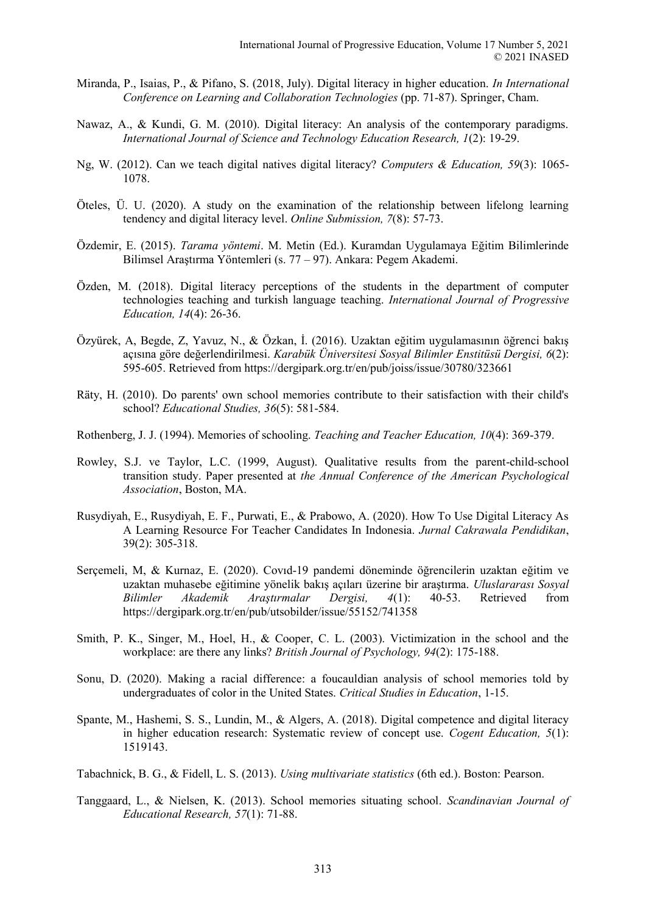- Miranda, P., Isaias, P., & Pifano, S. (2018, July). Digital literacy in higher education. *In International Conference on Learning and Collaboration Technologies* (pp. 71-87). Springer, Cham.
- Nawaz, A., & Kundi, G. M. (2010). Digital literacy: An analysis of the contemporary paradigms. *International Journal of Science and Technology Education Research, 1*(2): 19-29.
- Ng, W. (2012). Can we teach digital natives digital literacy? *Computers & Education, 59*(3): 1065- 1078.
- Öteles, Ü. U. (2020). A study on the examination of the relationship between lifelong learning tendency and digital literacy level. *Online Submission, 7*(8): 57-73.
- Özdemir, E. (2015). *Tarama yöntemi*. M. Metin (Ed.). Kuramdan Uygulamaya Eğitim Bilimlerinde Bilimsel Araştırma Yöntemleri (s. 77 – 97). Ankara: Pegem Akademi.
- Özden, M. (2018). Digital literacy perceptions of the students in the department of computer technologies teaching and turkish language teaching. *International Journal of Progressive Education, 14*(4): 26-36.
- Özyürek, A, Begde, Z, Yavuz, N., & Özkan, İ. (2016). Uzaktan eğitim uygulamasının öğrenci bakış açısına göre değerlendirilmesi. *Karabük Üniversitesi Sosyal Bilimler Enstitüsü Dergisi, 6*(2): 595-605. Retrieved from https://dergipark.org.tr/en/pub/joiss/issue/30780/323661
- Räty, H. (2010). Do parents' own school memories contribute to their satisfaction with their child's school? *Educational Studies, 36*(5): 581-584.
- Rothenberg, J. J. (1994). Memories of schooling. *Teaching and Teacher Education, 10*(4): 369-379.
- Rowley, S.J. ve Taylor, L.C. (1999, August). Qualitative results from the parent-child-school transition study. Paper presented at *the Annual Conference of the American Psychological Association*, Boston, MA.
- Rusydiyah, E., Rusydiyah, E. F., Purwati, E., & Prabowo, A. (2020). How To Use Digital Literacy As A Learning Resource For Teacher Candidates In Indonesia. *Jurnal Cakrawala Pendidikan*, 39(2): 305-318.
- Serçemeli, M, & Kurnaz, E. (2020). Covıd-19 pandemi döneminde öğrencilerin uzaktan eğitim ve uzaktan muhasebe eğitimine yönelik bakış açıları üzerine bir araştırma. *Uluslararası Sosyal Bilimler Akademik Araştırmalar Dergisi, 4*(1): 40-53. Retrieved from https://dergipark.org.tr/en/pub/utsobilder/issue/55152/741358
- Smith, P. K., Singer, M., Hoel, H., & Cooper, C. L. (2003). Victimization in the school and the workplace: are there any links? *British Journal of Psychology, 94*(2): 175-188.
- Sonu, D. (2020). Making a racial difference: a foucauldian analysis of school memories told by undergraduates of color in the United States. *Critical Studies in Education*, 1-15.
- Spante, M., Hashemi, S. S., Lundin, M., & Algers, A. (2018). Digital competence and digital literacy in higher education research: Systematic review of concept use. *Cogent Education, 5*(1): 1519143.
- Tabachnick, B. G., & Fidell, L. S. (2013). *Using multivariate statistics* (6th ed.). Boston: Pearson.
- Tanggaard, L., & Nielsen, K. (2013). School memories situating school. *Scandinavian Journal of Educational Research, 57*(1): 71-88.